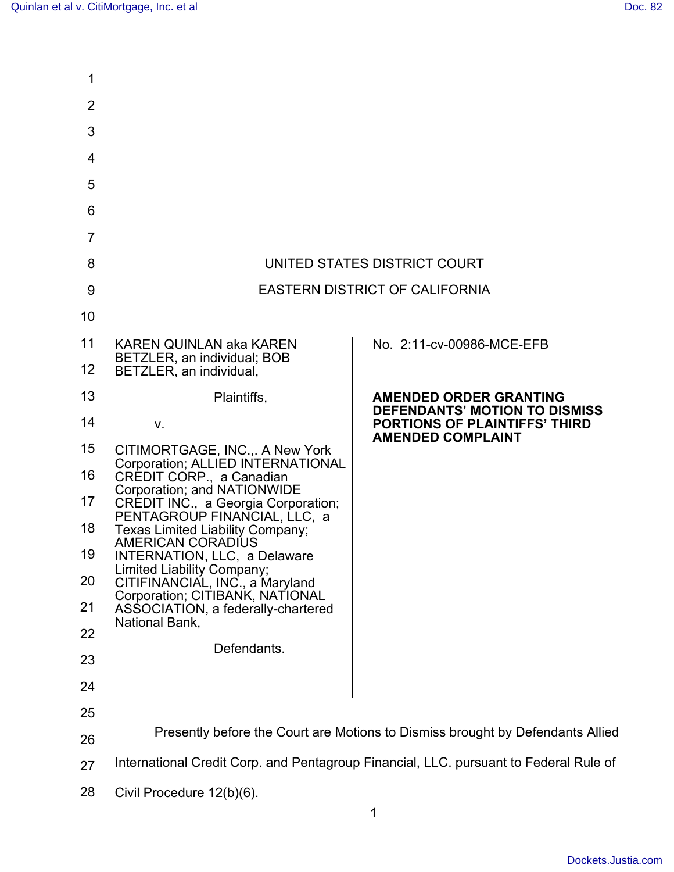| 1              |                                                                                                                                                                                                                                                                                       |                                                                                                                                           |
|----------------|---------------------------------------------------------------------------------------------------------------------------------------------------------------------------------------------------------------------------------------------------------------------------------------|-------------------------------------------------------------------------------------------------------------------------------------------|
| $\overline{2}$ |                                                                                                                                                                                                                                                                                       |                                                                                                                                           |
| 3              |                                                                                                                                                                                                                                                                                       |                                                                                                                                           |
| 4              |                                                                                                                                                                                                                                                                                       |                                                                                                                                           |
| 5              |                                                                                                                                                                                                                                                                                       |                                                                                                                                           |
| 6              |                                                                                                                                                                                                                                                                                       |                                                                                                                                           |
| $\overline{7}$ |                                                                                                                                                                                                                                                                                       |                                                                                                                                           |
| 8              | UNITED STATES DISTRICT COURT                                                                                                                                                                                                                                                          |                                                                                                                                           |
| 9              | <b>EASTERN DISTRICT OF CALIFORNIA</b>                                                                                                                                                                                                                                                 |                                                                                                                                           |
| 10             |                                                                                                                                                                                                                                                                                       |                                                                                                                                           |
| 11             | <b>KAREN QUINLAN aka KAREN</b><br>BETZLER, an individual; BOB                                                                                                                                                                                                                         | No. 2:11-cv-00986-MCE-EFB                                                                                                                 |
| 12             | BETZLER, an individual,                                                                                                                                                                                                                                                               |                                                                                                                                           |
| 13             | Plaintiffs,                                                                                                                                                                                                                                                                           | <b>AMENDED ORDER GRANTING</b><br><b>DEFENDANTS' MOTION TO DISMISS</b><br><b>PORTIONS OF PLAINTIFFS' THIRD</b><br><b>AMENDED COMPLAINT</b> |
| 14             | $V_{\rm r}$<br>CITIMORTGAGE, INC.,. A New York<br>Corporation; ALLIED INTERNATIONAL<br>CREDIT CORP., a Canadian<br>Corporation; and NATIONWIDE<br>CREDIT INC., a Georgia Corporation;<br>PENTAGROUP FINANCIAL, LLC, a<br>Texas Limited Liability Company;<br><b>AMERICAN CORADIUS</b> |                                                                                                                                           |
| 15             |                                                                                                                                                                                                                                                                                       |                                                                                                                                           |
| 16             |                                                                                                                                                                                                                                                                                       |                                                                                                                                           |
| 17             |                                                                                                                                                                                                                                                                                       |                                                                                                                                           |
| 18             |                                                                                                                                                                                                                                                                                       |                                                                                                                                           |
| 19             | INTERNATION, LLC, a Delaware<br>Limited Liability Company;                                                                                                                                                                                                                            |                                                                                                                                           |
| 20             | CITIFINANCIAL, INC., a Maryland<br>Corporation; CITIBANK, NATIONAL                                                                                                                                                                                                                    |                                                                                                                                           |
| 21             | ASSOCIATION, a federally-chartered<br>National Bank,                                                                                                                                                                                                                                  |                                                                                                                                           |
| 22             | Defendants.                                                                                                                                                                                                                                                                           |                                                                                                                                           |
| 23             |                                                                                                                                                                                                                                                                                       |                                                                                                                                           |
| 24             |                                                                                                                                                                                                                                                                                       |                                                                                                                                           |
| 25<br>26       | Presently before the Court are Motions to Dismiss brought by Defendants Allied                                                                                                                                                                                                        |                                                                                                                                           |
| 27             | International Credit Corp. and Pentagroup Financial, LLC. pursuant to Federal Rule of                                                                                                                                                                                                 |                                                                                                                                           |
| 28             |                                                                                                                                                                                                                                                                                       |                                                                                                                                           |
|                | Civil Procedure 12(b)(6).                                                                                                                                                                                                                                                             | 1                                                                                                                                         |
|                |                                                                                                                                                                                                                                                                                       |                                                                                                                                           |